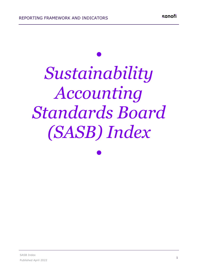## *• Sustainability Accounting Standards Board*

*(SASB) Index*

*•*

sanofi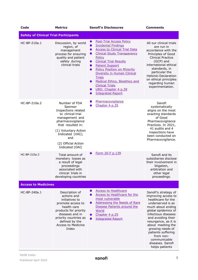| <b>Code</b>                                  | <b>Metrics</b>                                                                                                                                                                                                                | <b>Sanofi's Disclosures</b>                                                                                                                                                                                                                                                                                                                                                                                                                                                                                                           | <b>Comments</b>                                                                                                                                                                                                                                                                                                                           |
|----------------------------------------------|-------------------------------------------------------------------------------------------------------------------------------------------------------------------------------------------------------------------------------|---------------------------------------------------------------------------------------------------------------------------------------------------------------------------------------------------------------------------------------------------------------------------------------------------------------------------------------------------------------------------------------------------------------------------------------------------------------------------------------------------------------------------------------|-------------------------------------------------------------------------------------------------------------------------------------------------------------------------------------------------------------------------------------------------------------------------------------------------------------------------------------------|
| <b>Safety of Clinical Trial Participants</b> |                                                                                                                                                                                                                               |                                                                                                                                                                                                                                                                                                                                                                                                                                                                                                                                       |                                                                                                                                                                                                                                                                                                                                           |
| HC-BP-210a.1                                 | Discussion, by world<br>region, of<br>management<br>process for ensuring<br>quality and patient<br>safety during<br>clinical trials                                                                                           | <b>Post-Trial Access Policy</b><br>$\bullet$<br><b>Incidental Findings</b><br>$\bullet$<br><b>Access to Clinical Trial Data</b><br>$\bullet$<br><b>Clinical Study Transparency</b><br>$\bullet$<br>Policy<br><b>Clinical Trial Results</b><br>$\bullet$<br><b>Patient Support</b><br>$\bullet$<br><b>Policy Position on Minority</b><br>$\bullet$<br>Diversity in Human Clinical<br><b>Trials</b><br><b>Medical Ethics, Bioethics and</b><br>0<br><b>Clinical Trials</b><br>URD: Chapter 4 p.39<br>O<br><b>Integrated Report</b><br>n | All our clinical trials<br>are run in<br>accordance with the<br>Principles of Good<br><b>Clinical Practice</b><br>(GCP) and<br>international ethical<br>standards, in<br>particular the<br><b>Helsinki Declaration</b><br>on ethical principles<br>regarding human<br>experimentation.                                                    |
| HC-BP-210a.2                                 | Number of FDA<br>Sponsor<br>Inspections related<br>to clinical trial<br>management and<br>pharmacovigilance<br>that resulted in:<br>(1) Voluntary Action<br>Indicated (VAI);<br>and<br>(2) Official Action<br>Indicated (OAI) | Pharmacovigilance<br>$\bullet$<br>Chapter 4 p.35<br>O                                                                                                                                                                                                                                                                                                                                                                                                                                                                                 | Sanofi<br>systematically<br>aligns on the most<br>exacting standards<br>of Good<br>Pharmacovigilance<br>Practices. In 2021,<br>41 audits and 4<br>inspections have<br>been conducted on<br>Pharmacovigilance.                                                                                                                             |
| HC-BP-210a.3                                 | Total amount of<br>monetary losses as<br>a result of legal<br>proceedings<br>associated with<br>clinical trials in<br>developing countries                                                                                    | Form 20-F p.139<br>$\bullet$                                                                                                                                                                                                                                                                                                                                                                                                                                                                                                          | Sanofi and its<br>subsidiaries disclose<br>their involvement in<br>litigation,<br>arbitration and<br>other legal<br>proceedings.                                                                                                                                                                                                          |
| <b>Access to Medicines</b>                   |                                                                                                                                                                                                                               |                                                                                                                                                                                                                                                                                                                                                                                                                                                                                                                                       |                                                                                                                                                                                                                                                                                                                                           |
| HC-BP-240a.1                                 | Description of<br>actions and<br>initiatives to<br>promote access to<br>health care<br>products for priority<br>diseases and in<br>priority countries as<br>defined by the<br>Access to Medicine<br>Index                     | <b>Access to Healthcare</b><br>O<br>Access to Healthcare for the<br>0<br>most vulnerable<br><b>Addressing the Needs of Rare</b><br>0<br>Disease Patients around the<br>World<br>Chapter 4 p.25<br>0<br><b>Integrated Report</b><br>$\bullet$                                                                                                                                                                                                                                                                                          | Sanofi's strategy of<br>improving access to<br>healthcare for the<br>underserved is as<br>much about ending<br>global epidemics of<br>infectious diseases<br>and avoiding their<br>resurgence, as it is<br>about meeting the<br>growing needs of<br>patients suffering<br>from non-<br>communicable<br>diseases. Sanofi<br>helps patients |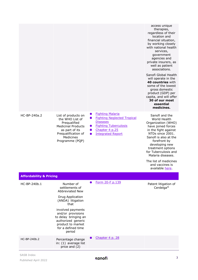|                                    |                                                                                                                                                                                                              |                                                                                                                                                                                          | access unique<br>therapies,<br>regardless of their<br>location and<br>financial situation,<br>by working closely<br>with national health<br>services,<br>government<br>agencies and<br>private insurers, as<br>well as patient<br>associations.<br>Sanofi Global Health<br>will operate in the<br>40 countries with<br>some of the lowest<br>gross domestic<br>product (GDP) per<br>capita, and will offer<br>30 of our most<br>essential<br>medicines. |
|------------------------------------|--------------------------------------------------------------------------------------------------------------------------------------------------------------------------------------------------------------|------------------------------------------------------------------------------------------------------------------------------------------------------------------------------------------|---------------------------------------------------------------------------------------------------------------------------------------------------------------------------------------------------------------------------------------------------------------------------------------------------------------------------------------------------------------------------------------------------------------------------------------------------------|
| HC-BP-240a.2                       | List of products on<br>the WHO List of<br>Prequalified<br><b>Medicinal Products</b><br>as part of its<br>Prequalification of<br>Medicines<br>Programme (PQP)                                                 | <b>Fighting Malaria</b><br>$\bullet$<br><b>Fighting Neglected Tropical</b><br>$\bullet$<br><b>Diseases</b><br><b>Fighting Tuberculosis</b><br>Chapter 4 p.25<br><b>Integrated Report</b> | Sanofi and the<br>World Health<br>Organization (WHO)<br>have joined forces<br>in the fight against<br>NTDs since 2001.<br>Sanofi is also at the<br>forefront by<br>developing new<br>treatment options<br>for Tuberculosis and<br>Malaria diseases.<br>The list of medicines<br>and vaccines is<br>available here.                                                                                                                                      |
| <b>Affordability &amp; Pricing</b> |                                                                                                                                                                                                              |                                                                                                                                                                                          |                                                                                                                                                                                                                                                                                                                                                                                                                                                         |
| HC-BP-240b.1                       | Number of<br>settlements of<br>Abbreviated New<br>Drug Application<br>(ANDA) litigation<br>that<br>involved payments<br>and/or provisions<br>to delay bringing an<br>authorized generic<br>product to market | Form 20-F p.139                                                                                                                                                                          | Patent litigation of<br>Cerdelga <sup>®</sup>                                                                                                                                                                                                                                                                                                                                                                                                           |
| HC-BP-240b.2                       | for a defined time<br>period<br>Percentage change<br>in: (1) average list                                                                                                                                    | Chapter 4 p. 28                                                                                                                                                                          |                                                                                                                                                                                                                                                                                                                                                                                                                                                         |
|                                    | price and (2)                                                                                                                                                                                                |                                                                                                                                                                                          |                                                                                                                                                                                                                                                                                                                                                                                                                                                         |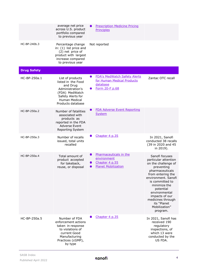|                    | average net price<br>across U.S. product<br>portfolio compared<br>to previous year                                                                  | <b>Prescription Medicine Pricing</b><br><b>Principles</b>                                                                 |                                                                                                                                                                                                                                                                                                |
|--------------------|-----------------------------------------------------------------------------------------------------------------------------------------------------|---------------------------------------------------------------------------------------------------------------------------|------------------------------------------------------------------------------------------------------------------------------------------------------------------------------------------------------------------------------------------------------------------------------------------------|
| HC-BP-240b.3       | Percentage change<br>in: (1) list price and<br>(2) net price of<br>product with largest<br>increase compared<br>to previous year                    | Not reported                                                                                                              |                                                                                                                                                                                                                                                                                                |
| <b>Drug Safety</b> |                                                                                                                                                     |                                                                                                                           |                                                                                                                                                                                                                                                                                                |
| HC-BP-250a.1       | List of products<br>listed in the Food<br>and Drug<br>Administration's<br>(FDA) MedWatch<br>Safety Alerts for<br>Human Medical<br>Products database | <b>FDA's MedWatch Safety Alerts</b><br>$\bullet$<br>for Human Medical Products<br>database<br>Form 20-F p.68<br>$\bullet$ | Zantac OTC recall                                                                                                                                                                                                                                                                              |
| HC-BP-250a.2       | Number of fatalities<br>associated with<br>products as<br>reported in the FDA<br><b>Adverse Event</b><br>Reporting System                           | <b>FDA Adverse Event Reporting</b><br><b>System</b>                                                                       |                                                                                                                                                                                                                                                                                                |
| HC-BP-250a.3       | Number of recalls<br>issued, total units<br>recalled                                                                                                | Chapter 4 p.35                                                                                                            | In 2021, Sanofi<br>conducted 38 recalls<br>(39 in 2020 and 45<br>in 2019).                                                                                                                                                                                                                     |
| HC-BP-250a.4       | Total amount of<br>product accepted<br>for takeback,<br>reuse, or disposal                                                                          | Pharmaceuticals in the<br>$\bullet$<br>environment<br>Chapter 4 p.55<br><b>Planet Mobilization</b>                        | Sanofi focuses<br>particular attention<br>on the challenge of<br>preventing<br>pharmaceuticals<br>from entering the<br>environment. Sanofi<br>is committed to<br>minimize the<br>potential<br>environmental<br>impacts of our<br>medicines through<br>its "Planet<br>Mobilization"<br>program. |
| HC-BP-250a.5       | Number of FDA<br>enforcement actions<br>taken in response<br>to violations of<br>current Good<br>Manufacturing<br>Practices (cGMP),<br>by type      | Chapter 4 p.35                                                                                                            | In 2021, Sanofi has<br>received 190<br>regulatory<br>inspections, of<br>which 13 were<br>conducted by the<br>US FDA.                                                                                                                                                                           |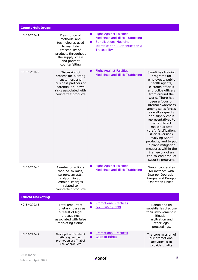| <b>Counterfeit Drugs</b> |                                                                                                                                                                  |   |                                                                                                                                                                             |                                                                                                                                                                                                                                                                                                                                                                                                                                                                                                                                         |
|--------------------------|------------------------------------------------------------------------------------------------------------------------------------------------------------------|---|-----------------------------------------------------------------------------------------------------------------------------------------------------------------------------|-----------------------------------------------------------------------------------------------------------------------------------------------------------------------------------------------------------------------------------------------------------------------------------------------------------------------------------------------------------------------------------------------------------------------------------------------------------------------------------------------------------------------------------------|
| HC-BP-260a.1             | Description of<br>methods and<br>technologies used<br>to maintain<br>traceability of<br>products throughout<br>the supply chain<br>and prevent<br>counterfeiting |   | <b>Fight Against Falsified</b><br><b>Medicines and Illicit Trafficking</b><br><b>Serialization: Medicine</b><br><b>Identification, Authentication &amp;</b><br>Traceability |                                                                                                                                                                                                                                                                                                                                                                                                                                                                                                                                         |
| HC-BP-260a.2             | Discussion of<br>process for alerting<br>customers and<br>business partners of<br>potential or known<br>risks associated with<br>counterfeit products            |   | <b>Fight Against Falsified</b><br>Medicines and Illicit Trafficking                                                                                                         | Sanofi has training<br>programs for<br>employees, public<br>health agents,<br>customs officials<br>and police officers<br>from around the<br>world. There has<br>been a focus on<br>internal awareness<br>among sales forces<br>as well as quality<br>and supply chain<br>representatives to<br>better detect<br>malicious acts<br>(theft, falsification,<br>illicit diversion)<br>involving Sanofi<br>products, and to put<br>in place mitigation<br>measures within the<br>framework of an<br>end-to-end product<br>security program. |
| HC-BP-260a.3             | Number of actions<br>that led to raids,<br>seizure, arrests,<br>and/or filing of<br>criminal charges<br>related to<br>counterfeit products                       | 0 | <b>Fight Against Falsified</b><br><b>Medicines and Illicit Trafficking</b>                                                                                                  | Sanofi cooperates<br>for instance with<br><b>Interpol Operation</b><br>Pangea and Europol<br>Operation Shield.                                                                                                                                                                                                                                                                                                                                                                                                                          |
| <b>Ethical Marketing</b> |                                                                                                                                                                  |   |                                                                                                                                                                             |                                                                                                                                                                                                                                                                                                                                                                                                                                                                                                                                         |
| HC-BP-270a.1             | Total amount of<br>monetary losses as<br>a result of legal<br>proceedings<br>associated with false<br>marketing claims                                           |   | <b>Promotional Practices</b><br>Form 20-F p.139                                                                                                                             | Sanofi and its<br>subsidiaries disclose<br>their involvement in<br>litigation,<br>arbitration and<br>other legal<br>proceedings.                                                                                                                                                                                                                                                                                                                                                                                                        |
| HC-BP-270a.2             | Description of code of<br>ethics governing<br>promotion of off-label<br>use of products                                                                          |   | <b>Promotional Practices</b><br><b>Code of Ethics</b>                                                                                                                       | The core mission of<br>our promotional<br>activities is to<br>provide quality                                                                                                                                                                                                                                                                                                                                                                                                                                                           |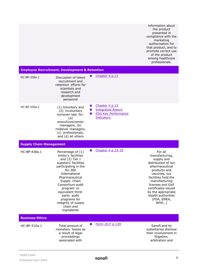|                                |                                                                                                                                                                                                                                                                                                                   |                                                                                                            | information about<br>the product<br>presented in<br>compliance with the<br>marketing<br>authorization for<br>that product, and to<br>promote correct use<br>of the product<br>among healthcare<br>professionals.                                                       |
|--------------------------------|-------------------------------------------------------------------------------------------------------------------------------------------------------------------------------------------------------------------------------------------------------------------------------------------------------------------|------------------------------------------------------------------------------------------------------------|------------------------------------------------------------------------------------------------------------------------------------------------------------------------------------------------------------------------------------------------------------------------|
|                                | <b>Employee Recruitment, Development &amp; Retention</b>                                                                                                                                                                                                                                                          |                                                                                                            |                                                                                                                                                                                                                                                                        |
| HC-BP-330a.1                   | Discussion of talent<br>recruitment and<br>retention efforts for<br>scientists and<br>research and<br>development<br>personnel                                                                                                                                                                                    | Chapter 4 p.13                                                                                             |                                                                                                                                                                                                                                                                        |
| HC-BP-330a.2                   | (1) Voluntary and<br>(2) involuntary<br>turnover rate for:<br>(a)<br>executives/senior<br>managers, (b)<br>midlevel managers,<br>(c) professionals,<br>and (d) all others                                                                                                                                         | Chapter 4 p.13<br>$\bullet$<br><b>Integrated Report</b><br><b>ESG Key Performance</b><br><b>Indicators</b> |                                                                                                                                                                                                                                                                        |
| <b>Supply Chain Management</b> |                                                                                                                                                                                                                                                                                                                   |                                                                                                            |                                                                                                                                                                                                                                                                        |
| HC-BP-430a.1                   | Percentage of (1)<br>entity's facilities<br>and (2) Tier I<br>suppliers' facilities<br>participating in the<br>Rx-360<br>International<br>Pharmaceutical<br>Supply Chain<br>Consortium audit<br>program or<br>equivalent third-<br>party audit<br>programs for<br>integrity of supply<br>chain and<br>ingredients | Chapter 4 p.33-35                                                                                          | For all<br>manufacturing,<br>supply and<br>distribution of our<br>pharmaceutical<br>products and<br>vaccines, our<br>facilities hold the<br>manufacturing<br>licenses and GxP<br>certificates issued<br>by the appropriate<br>health authorities<br>(FDA, EMEA,<br>WHO |
| <b>Business Ethics</b>         |                                                                                                                                                                                                                                                                                                                   |                                                                                                            |                                                                                                                                                                                                                                                                        |
| HC-BP-510a.1                   | Total amount of<br>monetary losses as<br>a result of legal<br>proceedings<br>associated with                                                                                                                                                                                                                      | Form 20-F p.139                                                                                            | Sanofi and its<br>subsidiaries disclose<br>their involvement in<br>litigation,<br>arbitration and                                                                                                                                                                      |